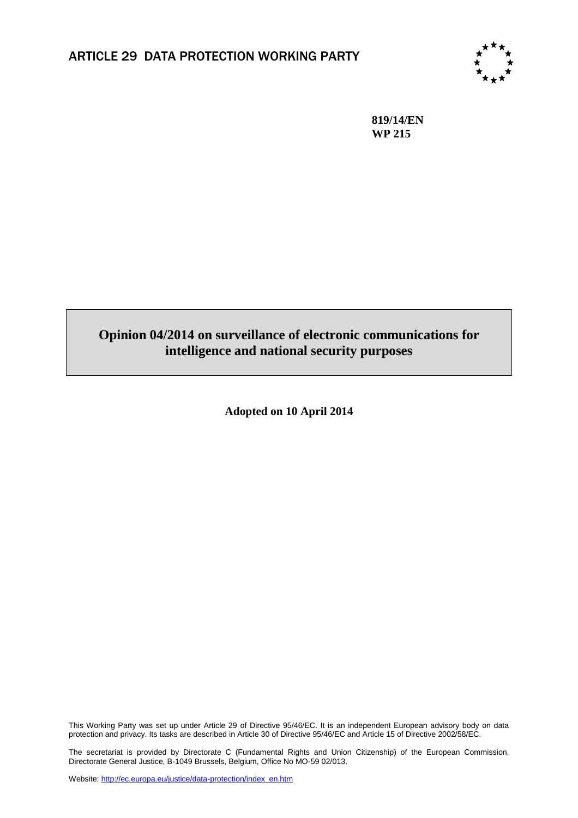

**819/14/EN WP 215**

# **Opinion 04/2014 on surveillance of electronic communications for intelligence and national security purposes**

**Adopted on 10 April 2014**

This Working Party was set up under Article 29 of Directive 95/46/EC. It is an independent European advisory body on data protection and privacy. Its tasks are described in Article 30 of Directive 95/46/EC and Article 15 of Directive 2002/58/EC.

The secretariat is provided by Directorate C (Fundamental Rights and Union Citizenship) of the European Commission, Directorate General Justice, B-1049 Brussels, Belgium, Office No MO-59 02/013.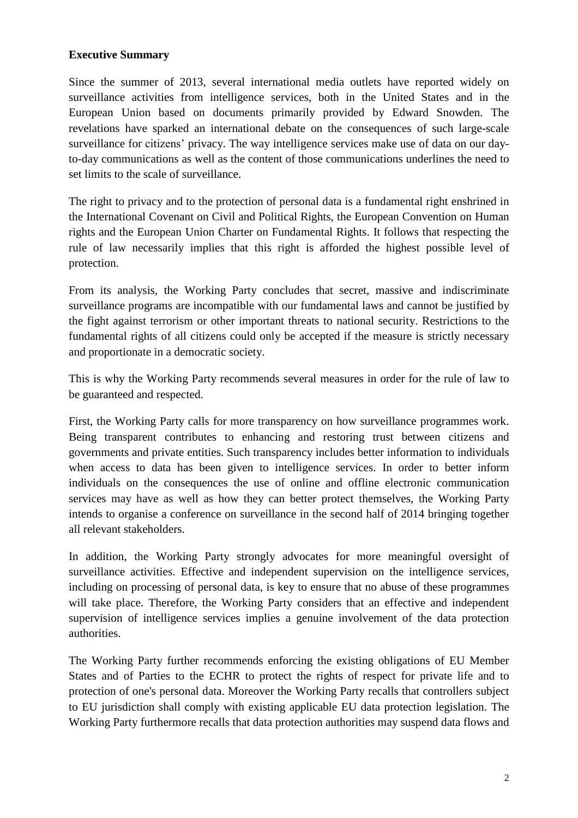#### **Executive Summary**

Since the summer of 2013, several international media outlets have reported widely on surveillance activities from intelligence services, both in the United States and in the European Union based on documents primarily provided by Edward Snowden. The revelations have sparked an international debate on the consequences of such large-scale surveillance for citizens' privacy. The way intelligence services make use of data on our dayto-day communications as well as the content of those communications underlines the need to set limits to the scale of surveillance.

The right to privacy and to the protection of personal data is a fundamental right enshrined in the International Covenant on Civil and Political Rights, the European Convention on Human rights and the European Union Charter on Fundamental Rights. It follows that respecting the rule of law necessarily implies that this right is afforded the highest possible level of protection.

From its analysis, the Working Party concludes that secret, massive and indiscriminate surveillance programs are incompatible with our fundamental laws and cannot be justified by the fight against terrorism or other important threats to national security. Restrictions to the fundamental rights of all citizens could only be accepted if the measure is strictly necessary and proportionate in a democratic society.

This is why the Working Party recommends several measures in order for the rule of law to be guaranteed and respected.

First, the Working Party calls for more transparency on how surveillance programmes work. Being transparent contributes to enhancing and restoring trust between citizens and governments and private entities. Such transparency includes better information to individuals when access to data has been given to intelligence services. In order to better inform individuals on the consequences the use of online and offline electronic communication services may have as well as how they can better protect themselves, the Working Party intends to organise a conference on surveillance in the second half of 2014 bringing together all relevant stakeholders.

In addition, the Working Party strongly advocates for more meaningful oversight of surveillance activities. Effective and independent supervision on the intelligence services, including on processing of personal data, is key to ensure that no abuse of these programmes will take place. Therefore, the Working Party considers that an effective and independent supervision of intelligence services implies a genuine involvement of the data protection authorities.

The Working Party further recommends enforcing the existing obligations of EU Member States and of Parties to the ECHR to protect the rights of respect for private life and to protection of one's personal data. Moreover the Working Party recalls that controllers subject to EU jurisdiction shall comply with existing applicable EU data protection legislation. The Working Party furthermore recalls that data protection authorities may suspend data flows and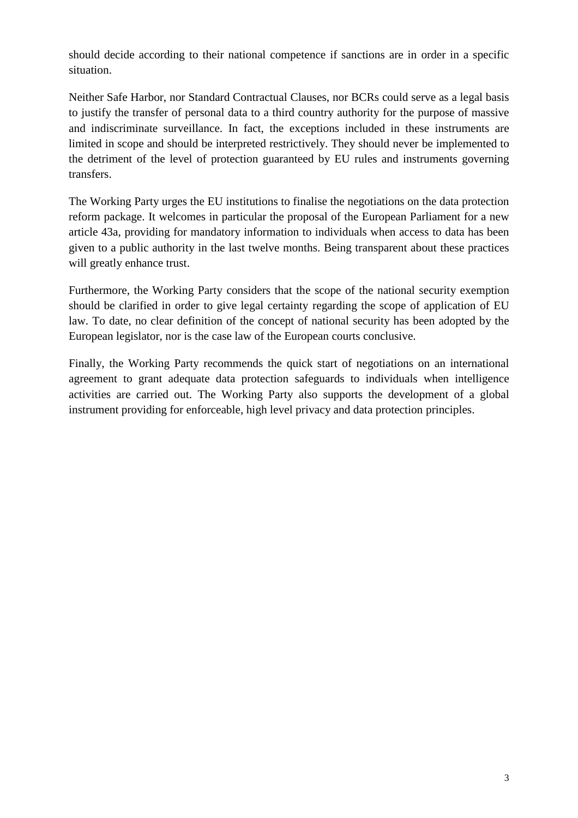should decide according to their national competence if sanctions are in order in a specific situation.

Neither Safe Harbor, nor Standard Contractual Clauses, nor BCRs could serve as a legal basis to justify the transfer of personal data to a third country authority for the purpose of massive and indiscriminate surveillance. In fact, the exceptions included in these instruments are limited in scope and should be interpreted restrictively. They should never be implemented to the detriment of the level of protection guaranteed by EU rules and instruments governing transfers.

The Working Party urges the EU institutions to finalise the negotiations on the data protection reform package. It welcomes in particular the proposal of the European Parliament for a new article 43a, providing for mandatory information to individuals when access to data has been given to a public authority in the last twelve months. Being transparent about these practices will greatly enhance trust.

Furthermore, the Working Party considers that the scope of the national security exemption should be clarified in order to give legal certainty regarding the scope of application of EU law. To date, no clear definition of the concept of national security has been adopted by the European legislator, nor is the case law of the European courts conclusive.

Finally, the Working Party recommends the quick start of negotiations on an international agreement to grant adequate data protection safeguards to individuals when intelligence activities are carried out. The Working Party also supports the development of a global instrument providing for enforceable, high level privacy and data protection principles.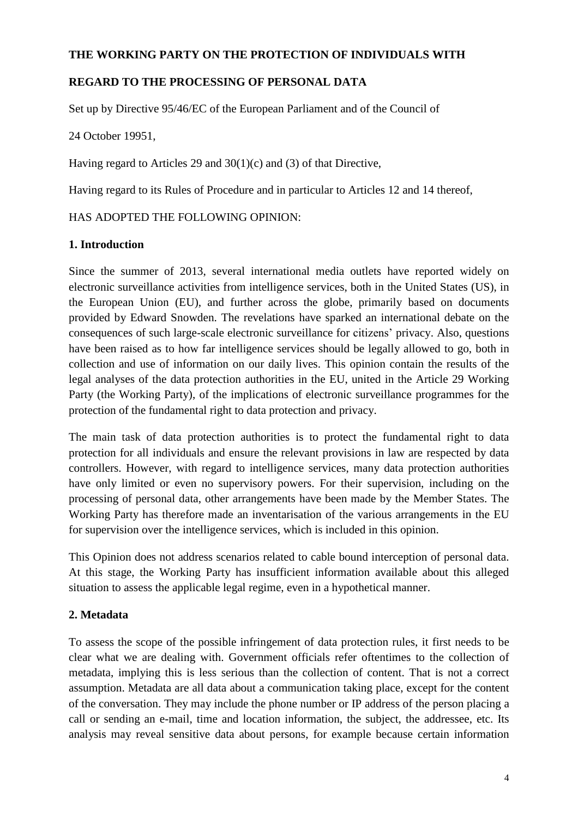## **THE WORKING PARTY ON THE PROTECTION OF INDIVIDUALS WITH**

## **REGARD TO THE PROCESSING OF PERSONAL DATA**

Set up by Directive 95/46/EC of the European Parliament and of the Council of

24 October 19951,

Having regard to Articles 29 and 30(1)(c) and (3) of that Directive,

Having regard to its Rules of Procedure and in particular to Articles 12 and 14 thereof,

#### HAS ADOPTED THE FOLLOWING OPINION:

#### **1. Introduction**

Since the summer of 2013, several international media outlets have reported widely on electronic surveillance activities from intelligence services, both in the United States (US), in the European Union (EU), and further across the globe, primarily based on documents provided by Edward Snowden. The revelations have sparked an international debate on the consequences of such large-scale electronic surveillance for citizens' privacy. Also, questions have been raised as to how far intelligence services should be legally allowed to go, both in collection and use of information on our daily lives. This opinion contain the results of the legal analyses of the data protection authorities in the EU, united in the Article 29 Working Party (the Working Party), of the implications of electronic surveillance programmes for the protection of the fundamental right to data protection and privacy.

The main task of data protection authorities is to protect the fundamental right to data protection for all individuals and ensure the relevant provisions in law are respected by data controllers. However, with regard to intelligence services, many data protection authorities have only limited or even no supervisory powers. For their supervision, including on the processing of personal data, other arrangements have been made by the Member States. The Working Party has therefore made an inventarisation of the various arrangements in the EU for supervision over the intelligence services, which is included in this opinion.

This Opinion does not address scenarios related to cable bound interception of personal data. At this stage, the Working Party has insufficient information available about this alleged situation to assess the applicable legal regime, even in a hypothetical manner.

## **2. Metadata**

To assess the scope of the possible infringement of data protection rules, it first needs to be clear what we are dealing with. Government officials refer oftentimes to the collection of metadata, implying this is less serious than the collection of content. That is not a correct assumption. Metadata are all data about a communication taking place, except for the content of the conversation. They may include the phone number or IP address of the person placing a call or sending an e-mail, time and location information, the subject, the addressee, etc. Its analysis may reveal sensitive data about persons, for example because certain information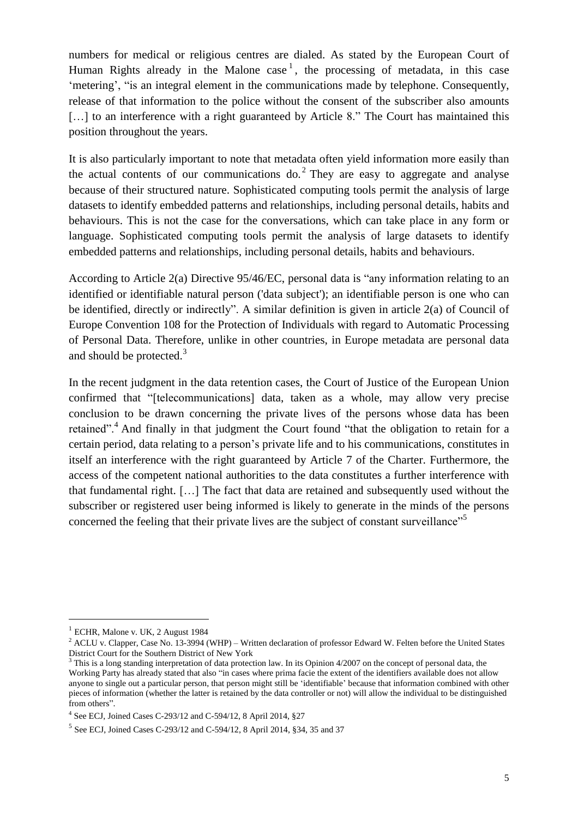numbers for medical or religious centres are dialed. As stated by the European Court of Human Rights already in the Malone case<sup>1</sup>, the processing of metadata, in this case 'metering', "is an integral element in the communications made by telephone. Consequently, release of that information to the police without the consent of the subscriber also amounts [...] to an interference with a right guaranteed by Article 8." The Court has maintained this position throughout the years.

It is also particularly important to note that metadata often yield information more easily than the actual contents of our communications do.<sup>2</sup> They are easy to aggregate and analyse because of their structured nature. Sophisticated computing tools permit the analysis of large datasets to identify embedded patterns and relationships, including personal details, habits and behaviours. This is not the case for the conversations, which can take place in any form or language. Sophisticated computing tools permit the analysis of large datasets to identify embedded patterns and relationships, including personal details, habits and behaviours.

According to Article 2(a) Directive 95/46/EC, personal data is "any information relating to an identified or identifiable natural person ('data subject'); an identifiable person is one who can be identified, directly or indirectly". A similar definition is given in article 2(a) of Council of Europe Convention 108 for the Protection of Individuals with regard to Automatic Processing of Personal Data. Therefore, unlike in other countries, in Europe metadata are personal data and should be protected.<sup>3</sup>

In the recent judgment in the data retention cases, the Court of Justice of the European Union confirmed that "[telecommunications] data, taken as a whole, may allow very precise conclusion to be drawn concerning the private lives of the persons whose data has been retained".<sup>4</sup> And finally in that judgment the Court found "that the obligation to retain for a certain period, data relating to a person's private life and to his communications, constitutes in itself an interference with the right guaranteed by Article 7 of the Charter. Furthermore, the access of the competent national authorities to the data constitutes a further interference with that fundamental right. […] The fact that data are retained and subsequently used without the subscriber or registered user being informed is likely to generate in the minds of the persons concerned the feeling that their private lives are the subject of constant surveillance"<sup>5</sup>

 $\overline{a}$ 

<sup>&</sup>lt;sup>1</sup> ECHR, Malone v. UK, 2 August 1984

<sup>&</sup>lt;sup>2</sup> ACLU v. Clapper, Case No. 13-3994 (WHP) – Written declaration of professor Edward W. Felten before the United States District Court for the Southern District of New York

 $3$  This is a long standing interpretation of data protection law. In its Opinion 4/2007 on the concept of personal data, the Working Party has already stated that also "in cases where prima facie the extent of the identifiers available does not allow anyone to single out a particular person, that person might still be 'identifiable' because that information combined with other pieces of information (whether the latter is retained by the data controller or not) will allow the individual to be distinguished from others".

<sup>4</sup> See ECJ, Joined Cases C-293/12 and C-594/12, 8 April 2014, §27

<sup>5</sup> See ECJ, Joined Cases C-293/12 and C-594/12, 8 April 2014, §34, 35 and 37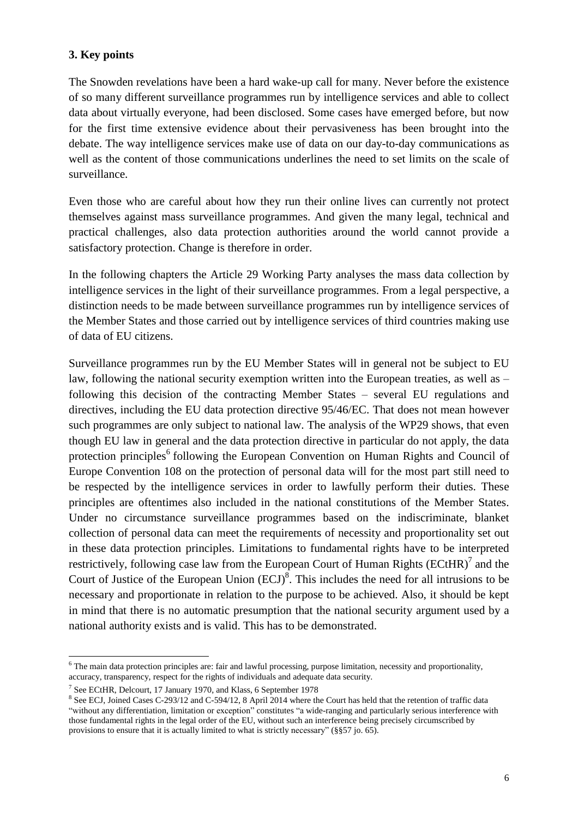## **3. Key points**

The Snowden revelations have been a hard wake-up call for many. Never before the existence of so many different surveillance programmes run by intelligence services and able to collect data about virtually everyone, had been disclosed. Some cases have emerged before, but now for the first time extensive evidence about their pervasiveness has been brought into the debate. The way intelligence services make use of data on our day-to-day communications as well as the content of those communications underlines the need to set limits on the scale of surveillance.

Even those who are careful about how they run their online lives can currently not protect themselves against mass surveillance programmes. And given the many legal, technical and practical challenges, also data protection authorities around the world cannot provide a satisfactory protection. Change is therefore in order.

In the following chapters the Article 29 Working Party analyses the mass data collection by intelligence services in the light of their surveillance programmes. From a legal perspective, a distinction needs to be made between surveillance programmes run by intelligence services of the Member States and those carried out by intelligence services of third countries making use of data of EU citizens.

Surveillance programmes run by the EU Member States will in general not be subject to EU law, following the national security exemption written into the European treaties, as well as – following this decision of the contracting Member States – several EU regulations and directives, including the EU data protection directive 95/46/EC. That does not mean however such programmes are only subject to national law. The analysis of the WP29 shows, that even though EU law in general and the data protection directive in particular do not apply, the data protection principles<sup>6</sup> following the European Convention on Human Rights and Council of Europe Convention 108 on the protection of personal data will for the most part still need to be respected by the intelligence services in order to lawfully perform their duties. These principles are oftentimes also included in the national constitutions of the Member States. Under no circumstance surveillance programmes based on the indiscriminate, blanket collection of personal data can meet the requirements of necessity and proportionality set out in these data protection principles. Limitations to fundamental rights have to be interpreted restrictively, following case law from the European Court of Human Rights  $(ECtHR)^7$  and the Court of Justice of the European Union  $(ECJ)^8$ . This includes the need for all intrusions to be necessary and proportionate in relation to the purpose to be achieved. Also, it should be kept in mind that there is no automatic presumption that the national security argument used by a national authority exists and is valid. This has to be demonstrated.

 $\overline{a}$ 

<sup>6</sup> The main data protection principles are: fair and lawful processing, purpose limitation, necessity and proportionality, accuracy, transparency, respect for the rights of individuals and adequate data security.

<sup>&</sup>lt;sup>7</sup> See ECtHR, Delcourt, 17 January 1970, and Klass, 6 September 1978

<sup>&</sup>lt;sup>8</sup> See ECJ, Joined Cases C-293/12 and C-594/12, 8 April 2014 where the Court has held that the retention of traffic data "without any differentiation, limitation or exception" constitutes "a wide-ranging and particularly serious interference with those fundamental rights in the legal order of the EU, without such an interference being precisely circumscribed by provisions to ensure that it is actually limited to what is strictly necessary" (§§57 jo. 65).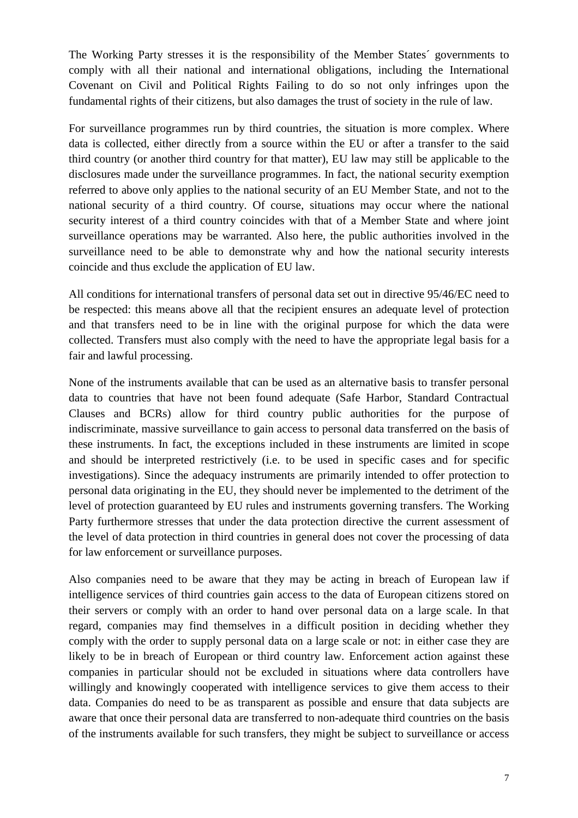The Working Party stresses it is the responsibility of the Member States´ governments to comply with all their national and international obligations, including the International Covenant on Civil and Political Rights Failing to do so not only infringes upon the fundamental rights of their citizens, but also damages the trust of society in the rule of law.

For surveillance programmes run by third countries, the situation is more complex. Where data is collected, either directly from a source within the EU or after a transfer to the said third country (or another third country for that matter), EU law may still be applicable to the disclosures made under the surveillance programmes. In fact, the national security exemption referred to above only applies to the national security of an EU Member State, and not to the national security of a third country. Of course, situations may occur where the national security interest of a third country coincides with that of a Member State and where joint surveillance operations may be warranted. Also here, the public authorities involved in the surveillance need to be able to demonstrate why and how the national security interests coincide and thus exclude the application of EU law.

All conditions for international transfers of personal data set out in directive 95/46/EC need to be respected: this means above all that the recipient ensures an adequate level of protection and that transfers need to be in line with the original purpose for which the data were collected. Transfers must also comply with the need to have the appropriate legal basis for a fair and lawful processing.

None of the instruments available that can be used as an alternative basis to transfer personal data to countries that have not been found adequate (Safe Harbor, Standard Contractual Clauses and BCRs) allow for third country public authorities for the purpose of indiscriminate, massive surveillance to gain access to personal data transferred on the basis of these instruments. In fact, the exceptions included in these instruments are limited in scope and should be interpreted restrictively (i.e. to be used in specific cases and for specific investigations). Since the adequacy instruments are primarily intended to offer protection to personal data originating in the EU, they should never be implemented to the detriment of the level of protection guaranteed by EU rules and instruments governing transfers. The Working Party furthermore stresses that under the data protection directive the current assessment of the level of data protection in third countries in general does not cover the processing of data for law enforcement or surveillance purposes.

Also companies need to be aware that they may be acting in breach of European law if intelligence services of third countries gain access to the data of European citizens stored on their servers or comply with an order to hand over personal data on a large scale. In that regard, companies may find themselves in a difficult position in deciding whether they comply with the order to supply personal data on a large scale or not: in either case they are likely to be in breach of European or third country law. Enforcement action against these companies in particular should not be excluded in situations where data controllers have willingly and knowingly cooperated with intelligence services to give them access to their data. Companies do need to be as transparent as possible and ensure that data subjects are aware that once their personal data are transferred to non-adequate third countries on the basis of the instruments available for such transfers, they might be subject to surveillance or access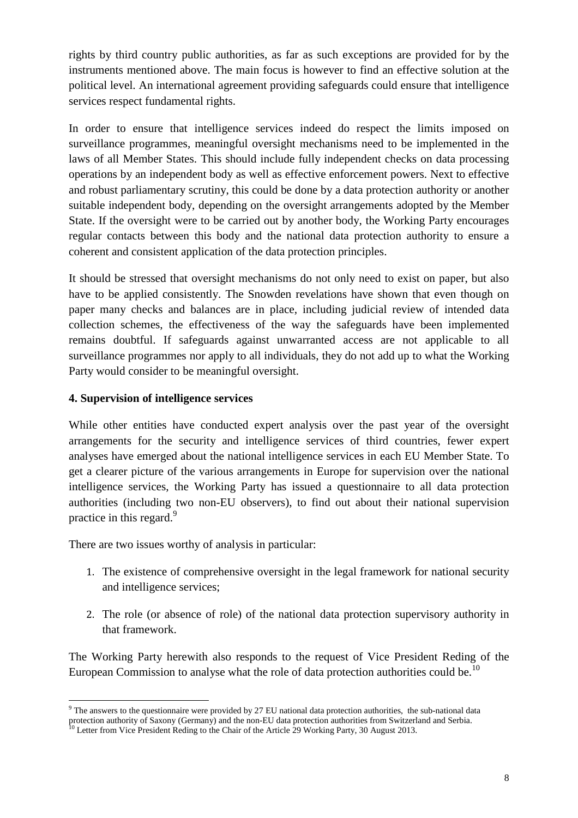rights by third country public authorities, as far as such exceptions are provided for by the instruments mentioned above. The main focus is however to find an effective solution at the political level. An international agreement providing safeguards could ensure that intelligence services respect fundamental rights.

In order to ensure that intelligence services indeed do respect the limits imposed on surveillance programmes, meaningful oversight mechanisms need to be implemented in the laws of all Member States. This should include fully independent checks on data processing operations by an independent body as well as effective enforcement powers. Next to effective and robust parliamentary scrutiny, this could be done by a data protection authority or another suitable independent body, depending on the oversight arrangements adopted by the Member State. If the oversight were to be carried out by another body, the Working Party encourages regular contacts between this body and the national data protection authority to ensure a coherent and consistent application of the data protection principles.

It should be stressed that oversight mechanisms do not only need to exist on paper, but also have to be applied consistently. The Snowden revelations have shown that even though on paper many checks and balances are in place, including judicial review of intended data collection schemes, the effectiveness of the way the safeguards have been implemented remains doubtful. If safeguards against unwarranted access are not applicable to all surveillance programmes nor apply to all individuals, they do not add up to what the Working Party would consider to be meaningful oversight.

## **4. Supervision of intelligence services**

 $\overline{a}$ 

While other entities have conducted expert analysis over the past year of the oversight arrangements for the security and intelligence services of third countries, fewer expert analyses have emerged about the national intelligence services in each EU Member State. To get a clearer picture of the various arrangements in Europe for supervision over the national intelligence services, the Working Party has issued a questionnaire to all data protection authorities (including two non-EU observers), to find out about their national supervision practice in this regard.<sup>9</sup>

There are two issues worthy of analysis in particular:

- 1. The existence of comprehensive oversight in the legal framework for national security and intelligence services;
- 2. The role (or absence of role) of the national data protection supervisory authority in that framework.

The Working Party herewith also responds to the request of Vice President Reding of the European Commission to analyse what the role of data protection authorities could be.<sup>10</sup>

 $9$  The answers to the questionnaire were provided by 27 EU national data protection authorities, the sub-national data protection authority of Saxony (Germany) and the non-EU data protection authorities from Switzerland and Serbia.

 $10$  Letter from Vice President Reding to the Chair of the Article 29 Working Party, 30 August 2013.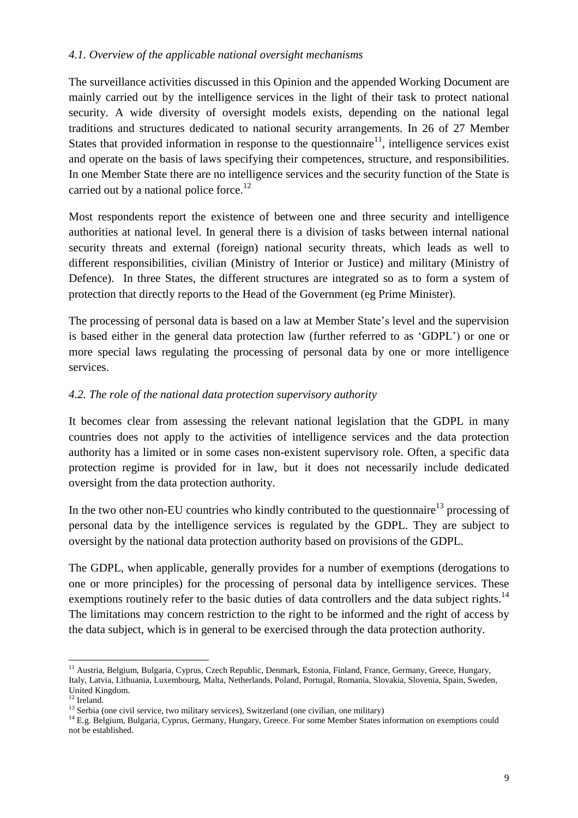#### *4.1. Overview of the applicable national oversight mechanisms*

The surveillance activities discussed in this Opinion and the appended Working Document are mainly carried out by the intelligence services in the light of their task to protect national security. A wide diversity of oversight models exists, depending on the national legal traditions and structures dedicated to national security arrangements. In 26 of 27 Member States that provided information in response to the questionnaire $11$ , intelligence services exist and operate on the basis of laws specifying their competences, structure, and responsibilities. In one Member State there are no intelligence services and the security function of the State is carried out by a national police force.<sup>12</sup>

Most respondents report the existence of between one and three security and intelligence authorities at national level. In general there is a division of tasks between internal national security threats and external (foreign) national security threats, which leads as well to different responsibilities, civilian (Ministry of Interior or Justice) and military (Ministry of Defence). In three States, the different structures are integrated so as to form a system of protection that directly reports to the Head of the Government (eg Prime Minister).

The processing of personal data is based on a law at Member State's level and the supervision is based either in the general data protection law (further referred to as 'GDPL') or one or more special laws regulating the processing of personal data by one or more intelligence services.

## *4.2. The role of the national data protection supervisory authority*

It becomes clear from assessing the relevant national legislation that the GDPL in many countries does not apply to the activities of intelligence services and the data protection authority has a limited or in some cases non-existent supervisory role. Often, a specific data protection regime is provided for in law, but it does not necessarily include dedicated oversight from the data protection authority.

In the two other non-EU countries who kindly contributed to the questionnaire<sup>13</sup> processing of personal data by the intelligence services is regulated by the GDPL. They are subject to oversight by the national data protection authority based on provisions of the GDPL.

The GDPL, when applicable, generally provides for a number of exemptions (derogations to one or more principles) for the processing of personal data by intelligence services. These exemptions routinely refer to the basic duties of data controllers and the data subject rights.<sup>14</sup> The limitations may concern restriction to the right to be informed and the right of access by the data subject, which is in general to be exercised through the data protection authority.

 $\overline{a}$ <sup>11</sup> Austria, Belgium, Bulgaria, Cyprus, Czech Republic, Denmark, Estonia, Finland, France, Germany, Greece, Hungary, Italy, Latvia, Lithuania, Luxembourg, Malta, Netherlands, Poland, Portugal, Romania, Slovakia, Slovenia, Spain, Sweden, United Kingdom.

<sup>&</sup>lt;sup>12</sup> Ireland.

 $13$  Serbia (one civil service, two military services), Switzerland (one civilian, one military)

<sup>&</sup>lt;sup>14</sup> E.g. Belgium, Bulgaria, Cyprus, Germany, Hungary, Greece. For some Member States information on exemptions could not be established.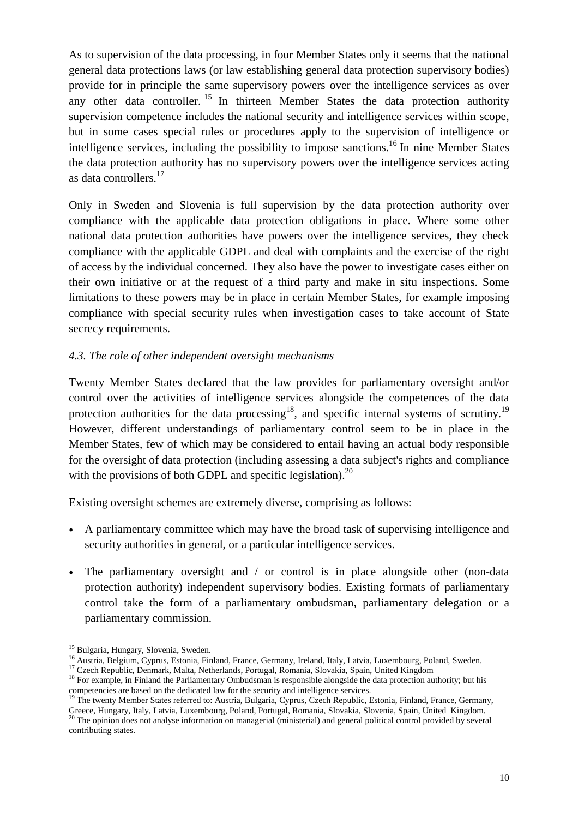As to supervision of the data processing, in four Member States only it seems that the national general data protections laws (or law establishing general data protection supervisory bodies) provide for in principle the same supervisory powers over the intelligence services as over any other data controller. <sup>15</sup> In thirteen Member States the data protection authority supervision competence includes the national security and intelligence services within scope, but in some cases special rules or procedures apply to the supervision of intelligence or intelligence services, including the possibility to impose sanctions.<sup>16</sup> In nine Member States the data protection authority has no supervisory powers over the intelligence services acting as data controllers.<sup>17</sup>

Only in Sweden and Slovenia is full supervision by the data protection authority over compliance with the applicable data protection obligations in place. Where some other national data protection authorities have powers over the intelligence services, they check compliance with the applicable GDPL and deal with complaints and the exercise of the right of access by the individual concerned. They also have the power to investigate cases either on their own initiative or at the request of a third party and make in situ inspections. Some limitations to these powers may be in place in certain Member States, for example imposing compliance with special security rules when investigation cases to take account of State secrecy requirements.

## *4.3. The role of other independent oversight mechanisms*

Twenty Member States declared that the law provides for parliamentary oversight and/or control over the activities of intelligence services alongside the competences of the data protection authorities for the data processing<sup>18</sup>, and specific internal systems of scrutiny.<sup>19</sup> However, different understandings of parliamentary control seem to be in place in the Member States, few of which may be considered to entail having an actual body responsible for the oversight of data protection (including assessing a data subject's rights and compliance with the provisions of both GDPL and specific legislation).<sup>20</sup>

Existing oversight schemes are extremely diverse, comprising as follows:

- A parliamentary committee which may have the broad task of supervising intelligence and security authorities in general, or a particular intelligence services.
- The parliamentary oversight and / or control is in place alongside other (non-data protection authority) independent supervisory bodies. Existing formats of parliamentary control take the form of a parliamentary ombudsman, parliamentary delegation or a parliamentary commission.

 $\overline{a}$ <sup>15</sup> Bulgaria, Hungary, Slovenia, Sweden.

<sup>16</sup> Austria, Belgium, Cyprus, Estonia, Finland, France, Germany, Ireland, Italy, Latvia, Luxembourg, Poland, Sweden.

<sup>&</sup>lt;sup>17</sup> Czech Republic, Denmark, Malta, Netherlands, Portugal, Romania, Slovakia, Spain, United Kingdom

<sup>&</sup>lt;sup>18</sup> For example, in Finland the Parliamentary Ombudsman is responsible alongside the data protection authority; but his competencies are based on the dedicated law for the security and intelligence services.

<sup>&</sup>lt;sup>19</sup> The twenty Member States referred to: Austria, Bulgaria, Cyprus, Czech Republic, Estonia, Finland, France, Germany, Greece, Hungary, Italy, Latvia, Luxembourg, Poland, Portugal, Romania, Slovakia, Slovenia, Spain, United Kingdom.

 $20$  The opinion does not analyse information on managerial (ministerial) and general political control provided by several contributing states.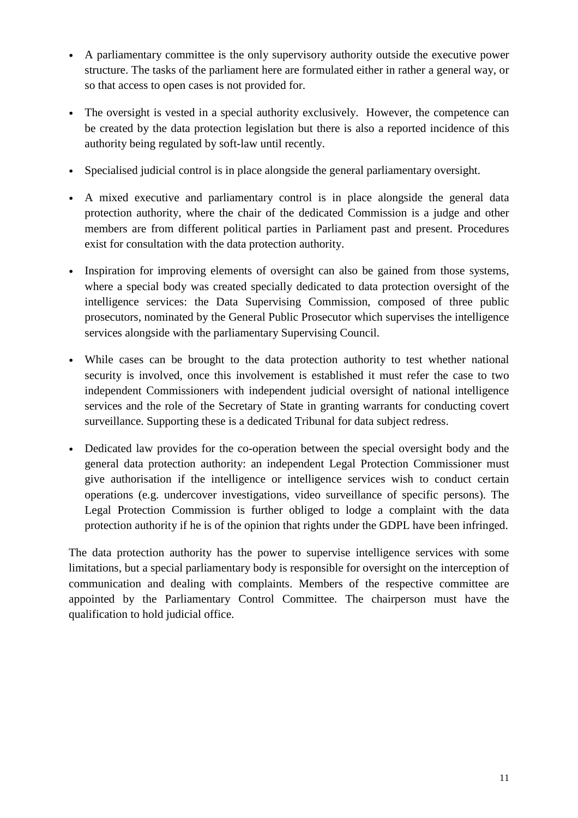- A parliamentary committee is the only supervisory authority outside the executive power structure. The tasks of the parliament here are formulated either in rather a general way, or so that access to open cases is not provided for.
- The oversight is vested in a special authority exclusively. However, the competence can be created by the data protection legislation but there is also a reported incidence of this authority being regulated by soft-law until recently.
- Specialised judicial control is in place alongside the general parliamentary oversight.
- A mixed executive and parliamentary control is in place alongside the general data protection authority, where the chair of the dedicated Commission is a judge and other members are from different political parties in Parliament past and present. Procedures exist for consultation with the data protection authority.
- Inspiration for improving elements of oversight can also be gained from those systems, where a special body was created specially dedicated to data protection oversight of the intelligence services: the Data Supervising Commission, composed of three public prosecutors, nominated by the General Public Prosecutor which supervises the intelligence services alongside with the parliamentary Supervising Council.
- While cases can be brought to the data protection authority to test whether national security is involved, once this involvement is established it must refer the case to two independent Commissioners with independent judicial oversight of national intelligence services and the role of the Secretary of State in granting warrants for conducting covert surveillance. Supporting these is a dedicated Tribunal for data subject redress.
- Dedicated law provides for the co-operation between the special oversight body and the general data protection authority: an independent Legal Protection Commissioner must give authorisation if the intelligence or intelligence services wish to conduct certain operations (e.g. undercover investigations, video surveillance of specific persons). The Legal Protection Commission is further obliged to lodge a complaint with the data protection authority if he is of the opinion that rights under the GDPL have been infringed.

The data protection authority has the power to supervise intelligence services with some limitations, but a special parliamentary body is responsible for oversight on the interception of communication and dealing with complaints. Members of the respective committee are appointed by the Parliamentary Control Committee. The chairperson must have the qualification to hold judicial office.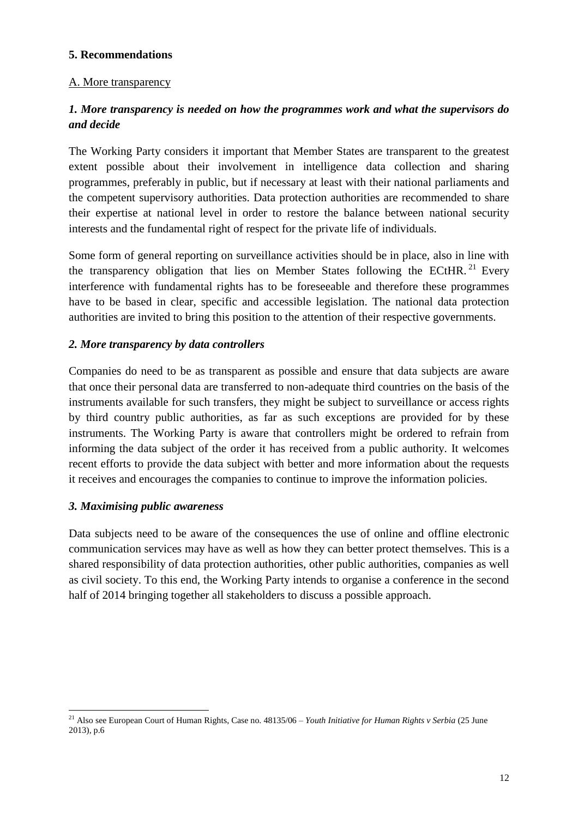## **5. Recommendations**

## A. More transparency

## *1. More transparency is needed on how the programmes work and what the supervisors do and decide*

The Working Party considers it important that Member States are transparent to the greatest extent possible about their involvement in intelligence data collection and sharing programmes, preferably in public, but if necessary at least with their national parliaments and the competent supervisory authorities. Data protection authorities are recommended to share their expertise at national level in order to restore the balance between national security interests and the fundamental right of respect for the private life of individuals.

Some form of general reporting on surveillance activities should be in place, also in line with the transparency obligation that lies on Member States following the ECtHR.<sup>21</sup> Every interference with fundamental rights has to be foreseeable and therefore these programmes have to be based in clear, specific and accessible legislation. The national data protection authorities are invited to bring this position to the attention of their respective governments.

## *2. More transparency by data controllers*

Companies do need to be as transparent as possible and ensure that data subjects are aware that once their personal data are transferred to non-adequate third countries on the basis of the instruments available for such transfers, they might be subject to surveillance or access rights by third country public authorities, as far as such exceptions are provided for by these instruments. The Working Party is aware that controllers might be ordered to refrain from informing the data subject of the order it has received from a public authority. It welcomes recent efforts to provide the data subject with better and more information about the requests it receives and encourages the companies to continue to improve the information policies.

#### *3. Maximising public awareness*

 $\overline{a}$ 

Data subjects need to be aware of the consequences the use of online and offline electronic communication services may have as well as how they can better protect themselves. This is a shared responsibility of data protection authorities, other public authorities, companies as well as civil society. To this end, the Working Party intends to organise a conference in the second half of 2014 bringing together all stakeholders to discuss a possible approach.

<sup>21</sup> Also see European Court of Human Rights, Case no. 48135/06 – *Youth Initiative for Human Rights v Serbia* (25 June 2013)*,* p.6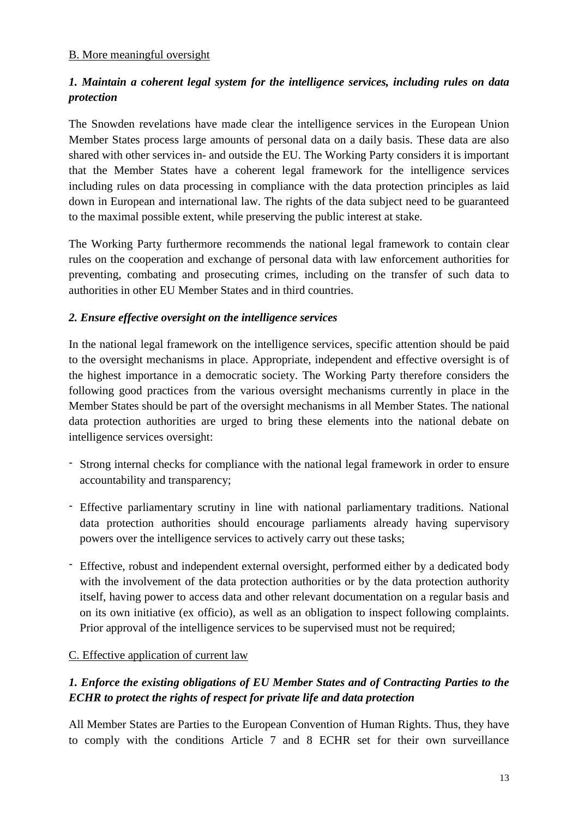### B. More meaningful oversight

## *1. Maintain a coherent legal system for the intelligence services, including rules on data protection*

The Snowden revelations have made clear the intelligence services in the European Union Member States process large amounts of personal data on a daily basis. These data are also shared with other services in- and outside the EU. The Working Party considers it is important that the Member States have a coherent legal framework for the intelligence services including rules on data processing in compliance with the data protection principles as laid down in European and international law. The rights of the data subject need to be guaranteed to the maximal possible extent, while preserving the public interest at stake.

The Working Party furthermore recommends the national legal framework to contain clear rules on the cooperation and exchange of personal data with law enforcement authorities for preventing, combating and prosecuting crimes, including on the transfer of such data to authorities in other EU Member States and in third countries.

## *2. Ensure effective oversight on the intelligence services*

In the national legal framework on the intelligence services, specific attention should be paid to the oversight mechanisms in place. Appropriate, independent and effective oversight is of the highest importance in a democratic society. The Working Party therefore considers the following good practices from the various oversight mechanisms currently in place in the Member States should be part of the oversight mechanisms in all Member States. The national data protection authorities are urged to bring these elements into the national debate on intelligence services oversight:

- Strong internal checks for compliance with the national legal framework in order to ensure accountability and transparency;
- Effective parliamentary scrutiny in line with national parliamentary traditions. National data protection authorities should encourage parliaments already having supervisory powers over the intelligence services to actively carry out these tasks;
- Effective, robust and independent external oversight, performed either by a dedicated body with the involvement of the data protection authorities or by the data protection authority itself, having power to access data and other relevant documentation on a regular basis and on its own initiative (ex officio), as well as an obligation to inspect following complaints. Prior approval of the intelligence services to be supervised must not be required;

## C. Effective application of current law

## *1. Enforce the existing obligations of EU Member States and of Contracting Parties to the ECHR to protect the rights of respect for private life and data protection*

All Member States are Parties to the European Convention of Human Rights. Thus, they have to comply with the conditions Article 7 and 8 ECHR set for their own surveillance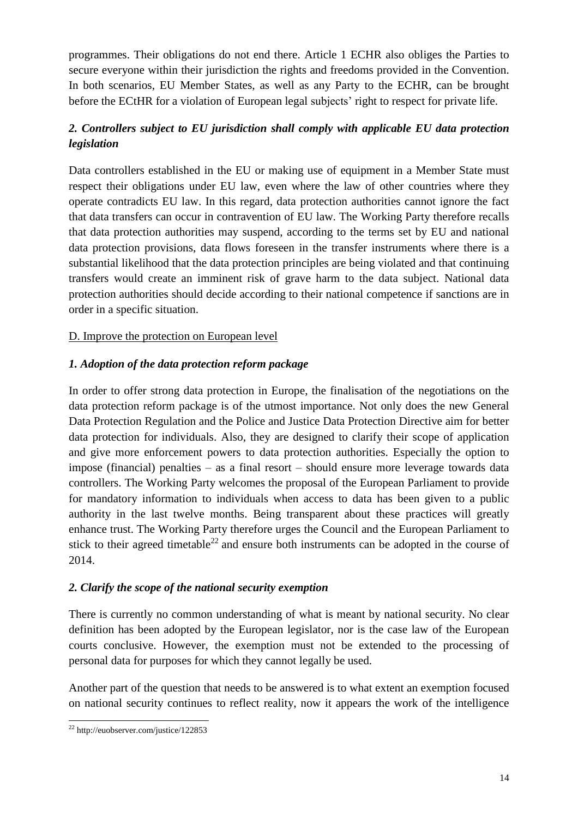programmes. Their obligations do not end there. Article 1 ECHR also obliges the Parties to secure everyone within their jurisdiction the rights and freedoms provided in the Convention. In both scenarios, EU Member States, as well as any Party to the ECHR, can be brought before the ECtHR for a violation of European legal subjects' right to respect for private life.

## *2. Controllers subject to EU jurisdiction shall comply with applicable EU data protection legislation*

Data controllers established in the EU or making use of equipment in a Member State must respect their obligations under EU law, even where the law of other countries where they operate contradicts EU law. In this regard, data protection authorities cannot ignore the fact that data transfers can occur in contravention of EU law. The Working Party therefore recalls that data protection authorities may suspend, according to the terms set by EU and national data protection provisions, data flows foreseen in the transfer instruments where there is a substantial likelihood that the data protection principles are being violated and that continuing transfers would create an imminent risk of grave harm to the data subject. National data protection authorities should decide according to their national competence if sanctions are in order in a specific situation.

## D. Improve the protection on European level

## *1. Adoption of the data protection reform package*

In order to offer strong data protection in Europe, the finalisation of the negotiations on the data protection reform package is of the utmost importance. Not only does the new General Data Protection Regulation and the Police and Justice Data Protection Directive aim for better data protection for individuals. Also, they are designed to clarify their scope of application and give more enforcement powers to data protection authorities. Especially the option to impose (financial) penalties – as a final resort – should ensure more leverage towards data controllers. The Working Party welcomes the proposal of the European Parliament to provide for mandatory information to individuals when access to data has been given to a public authority in the last twelve months. Being transparent about these practices will greatly enhance trust. The Working Party therefore urges the Council and the European Parliament to stick to their agreed timetable<sup>22</sup> and ensure both instruments can be adopted in the course of 2014.

## *2. Clarify the scope of the national security exemption*

There is currently no common understanding of what is meant by national security. No clear definition has been adopted by the European legislator, nor is the case law of the European courts conclusive. However, the exemption must not be extended to the processing of personal data for purposes for which they cannot legally be used.

Another part of the question that needs to be answered is to what extent an exemption focused on national security continues to reflect reality, now it appears the work of the intelligence

 $\overline{a}$  $22$  http://euobserver.com/justice/122853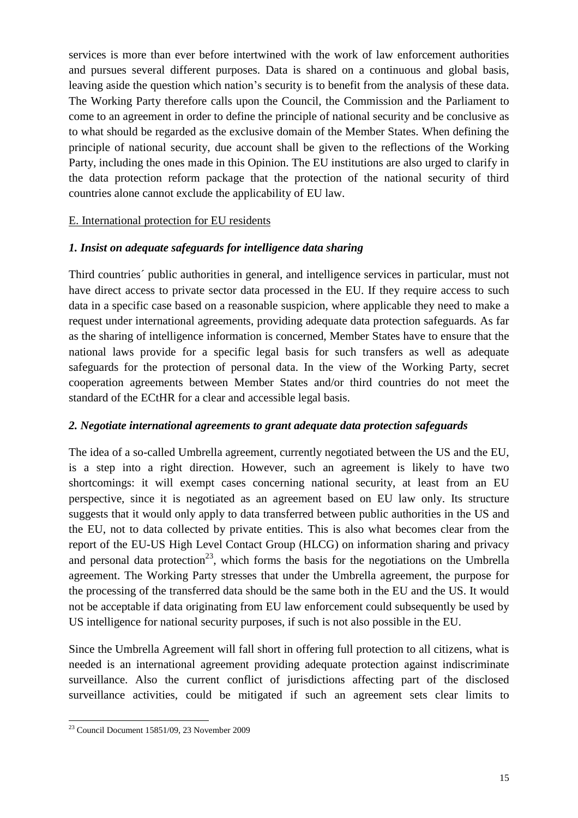services is more than ever before intertwined with the work of law enforcement authorities and pursues several different purposes. Data is shared on a continuous and global basis, leaving aside the question which nation's security is to benefit from the analysis of these data. The Working Party therefore calls upon the Council, the Commission and the Parliament to come to an agreement in order to define the principle of national security and be conclusive as to what should be regarded as the exclusive domain of the Member States. When defining the principle of national security, due account shall be given to the reflections of the Working Party, including the ones made in this Opinion. The EU institutions are also urged to clarify in the data protection reform package that the protection of the national security of third countries alone cannot exclude the applicability of EU law.

## E. International protection for EU residents

#### *1. Insist on adequate safeguards for intelligence data sharing*

Third countries´ public authorities in general, and intelligence services in particular, must not have direct access to private sector data processed in the EU. If they require access to such data in a specific case based on a reasonable suspicion, where applicable they need to make a request under international agreements, providing adequate data protection safeguards. As far as the sharing of intelligence information is concerned, Member States have to ensure that the national laws provide for a specific legal basis for such transfers as well as adequate safeguards for the protection of personal data. In the view of the Working Party, secret cooperation agreements between Member States and/or third countries do not meet the standard of the ECtHR for a clear and accessible legal basis.

## *2. Negotiate international agreements to grant adequate data protection safeguards*

The idea of a so-called Umbrella agreement, currently negotiated between the US and the EU, is a step into a right direction. However, such an agreement is likely to have two shortcomings: it will exempt cases concerning national security, at least from an EU perspective, since it is negotiated as an agreement based on EU law only. Its structure suggests that it would only apply to data transferred between public authorities in the US and the EU, not to data collected by private entities. This is also what becomes clear from the report of the EU-US High Level Contact Group (HLCG) on information sharing and privacy and personal data protection<sup>23</sup>, which forms the basis for the negotiations on the Umbrella agreement. The Working Party stresses that under the Umbrella agreement, the purpose for the processing of the transferred data should be the same both in the EU and the US. It would not be acceptable if data originating from EU law enforcement could subsequently be used by US intelligence for national security purposes, if such is not also possible in the EU.

Since the Umbrella Agreement will fall short in offering full protection to all citizens, what is needed is an international agreement providing adequate protection against indiscriminate surveillance. Also the current conflict of jurisdictions affecting part of the disclosed surveillance activities, could be mitigated if such an agreement sets clear limits to

 $\overline{a}$  $23$  Council Document 15851/09, 23 November 2009